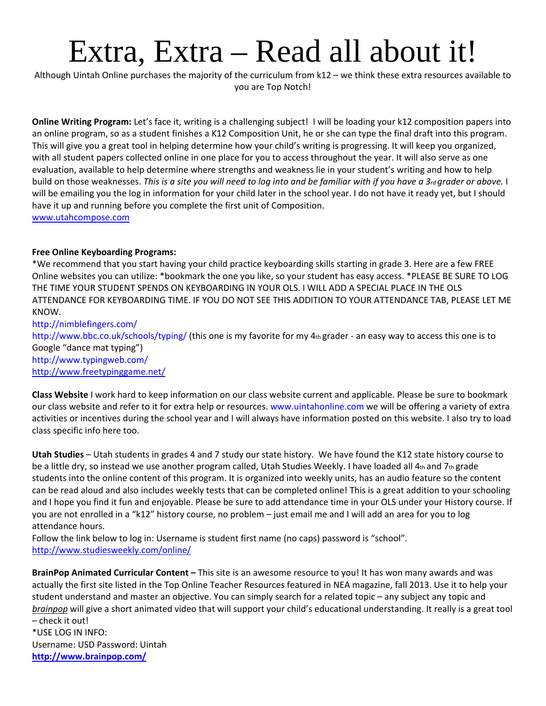# Extra, Extra – Read all about it!

Although Uintah Online purchases the majority of the curriculum from k12 – we think these extra resources available to you are Top Notch!

**Online Writing Program:** Let's face it, writing is a challenging subject! I will be loading your k12 composition papers into an online program, so as a student finishes a K12 Composition Unit, he or she can type the final draft into this program. This will give you a great tool in helping determine how your child's writing is progressing. It will keep you organized, with all student papers collected online in one place for you to access throughout the year. It will also serve as one evaluation, available to help determine where strengths and weakness lie in your student's writing and how to help build on those weaknesses. This is a site you will need to log into and be familiar with if you have a 3rd grader or above. I will be emailing you the log in information for your child later in the school year. I do not have it ready yet, but I should have it up and running before you complete the first unit of Composition. [www.utahcompose.com](http://www.utahcompose.com/)

## **Free Online Keyboarding Programs:**

\*We recommend that you start having your child practice keyboarding skills starting in grade 3. Here are a few FREE Online websites you can utilize: \*bookmark the one you like, so your student has easy access. \*PLEASE BE SURE TO LOG THE TIME YOUR STUDENT SPENDS ON KEYBOARDING IN YOUR OLS. I WILL ADD A SPECIAL PLACE IN THE OLS ATTENDANCE FOR KEYBOARDING TIME. IF YOU DO NOT SEE THIS ADDITION TO YOUR ATTENDANCE TAB, PLEASE LET ME KNOW.

http://nimblefingers.com/ http://www.bbc.co.uk/schools/typing/ (this one is my favorite for my 4th grader - an easy way to access this one is to Google "dance mat typing") http://www.typingweb.com/ <http://www.freetypinggame.net/>

**Class Website** I work hard to keep information on our class website current and applicable. Please be sure to bookmark our class website and refer to it for extra help or resources. www.uintahonline.com we will be offering a variety of extra activities or incentives during the school year and I will always have information posted on this website. I also try to load class specific info here too.

**Utah Studies** – Utah students in grades 4 and 7 study our state history. We have found the K12 state history course to be a little dry, so instead we use another program called, Utah Studies Weekly. I have loaded all  $4<sub>th</sub>$  and  $7<sub>th</sub>$  grade students into the online content of this program. It is organized into weekly units, has an audio feature so the content can be read aloud and also includes weekly tests that can be completed online! This is a great addition to your schooling and I hope you find it fun and enjoyable. Please be sure to add attendance time in your OLS under your History course. If you are not enrolled in a "k12" history course, no problem – just email me and I will add an area for you to log attendance hours.

Follow the link below to log in: Username is student first name (no caps) password is "school". <http://www.studiesweekly.com/online/>

**BrainPop Animated Curricular Content –** This site is an awesome resource to you! It has won many awards and was actually the first site listed in the Top Online Teacher Resources featured in NEA magazine, fall 2013. Use it to help your student understand and master an objective. You can simply search for a related topic – any subject any topic and *brainpop* will give a short animated video that will support your child's educational understanding. It really is a great tool – check it out! \*USE LOG IN INFO:

Username: USD Password: Uintah **<http://www.brainpop.com/>**